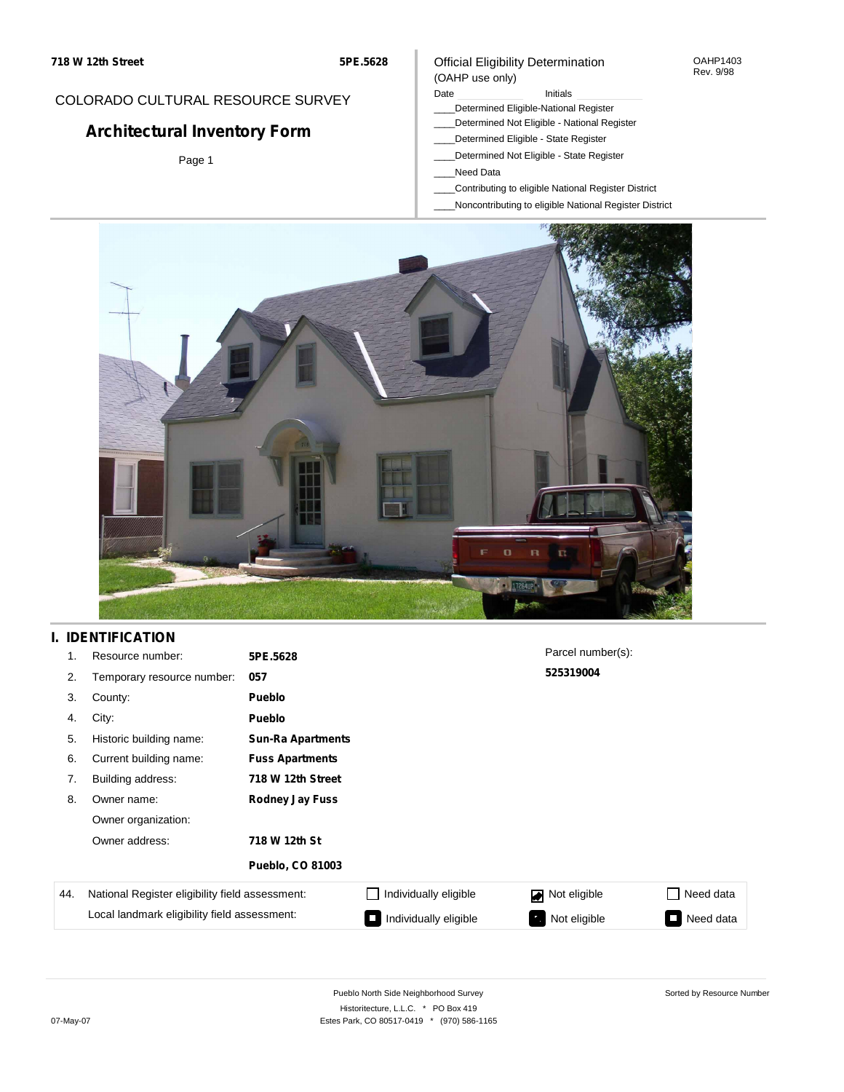#### OAHP1403 Rev. 9/98

## COLORADO CULTURAL RESOURCE SURVEY

# **Architectural Inventory Form**

Page 1

### (OAHP use only) Date **Initials** Initials

Official Eligibility Determination

- \_\_\_\_Determined Eligible-National Register
- \_\_\_\_Determined Not Eligible National Register
- \_\_\_\_Determined Eligible State Register
- \_\_\_\_Determined Not Eligible State Register
- \_\_\_\_Need Data
- \_\_\_\_Contributing to eligible National Register District
- \_\_\_\_Noncontributing to eligible National Register District



## **I. IDENTIFICATION**

| 1.  | Resource number:                                | 5PE.5628                 |                       | Parcel number(s): |           |
|-----|-------------------------------------------------|--------------------------|-----------------------|-------------------|-----------|
| 2.  | Temporary resource number:                      | 057                      |                       | 525319004         |           |
| 3.  | County:                                         | <b>Pueblo</b>            |                       |                   |           |
| 4.  | City:                                           | <b>Pueblo</b>            |                       |                   |           |
| 5.  | Historic building name:                         | <b>Sun-Ra Apartments</b> |                       |                   |           |
| 6.  | Current building name:                          | <b>Fuss Apartments</b>   |                       |                   |           |
| 7.  | Building address:                               | 718 W 12th Street        |                       |                   |           |
| 8.  | Owner name:                                     | <b>Rodney Jay Fuss</b>   |                       |                   |           |
|     | Owner organization:                             |                          |                       |                   |           |
|     | Owner address:                                  | 718 W 12th St            |                       |                   |           |
|     |                                                 | <b>Pueblo, CO 81003</b>  |                       |                   |           |
| 44. | National Register eligibility field assessment: |                          | Individually eligible | Not eligible      | Need data |
|     | Local landmark eligibility field assessment:    |                          | Individually eligible | Not eligible<br>ъ | Need data |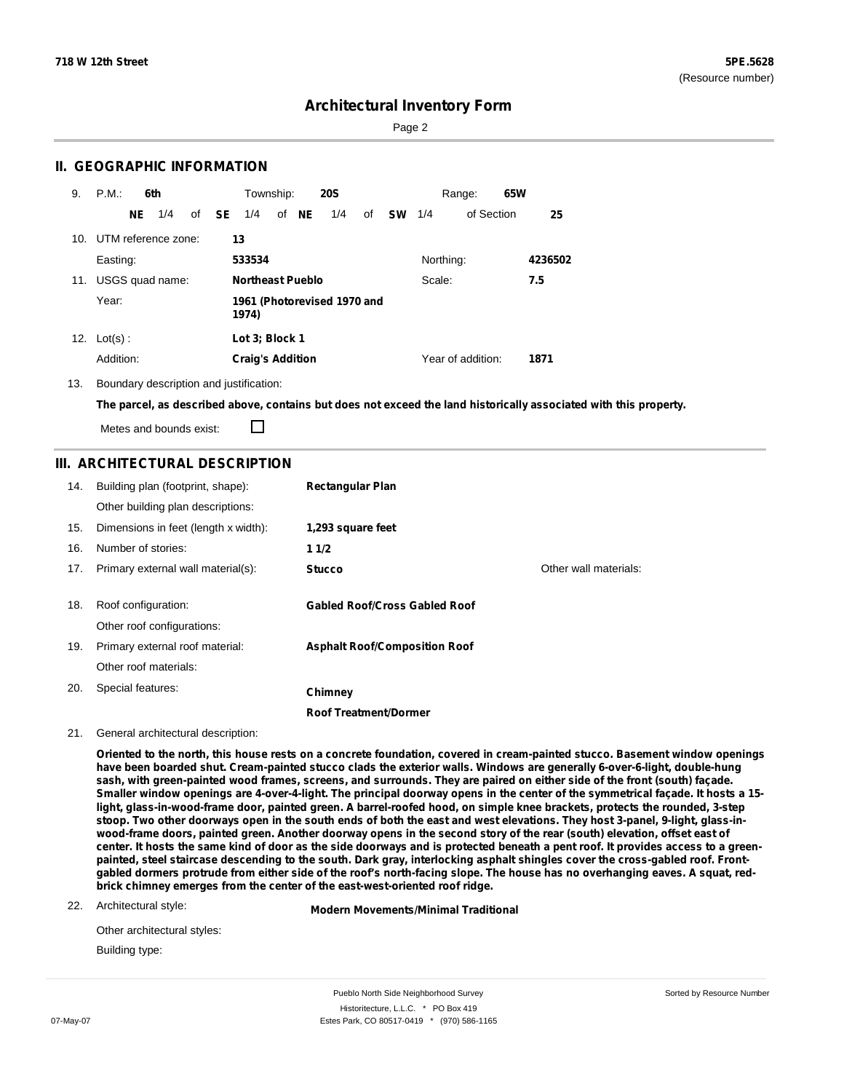Page 2

## **II. GEOGRAPHIC INFORMATION**

| 9.  | P.M.                    |           | 6th             |              | Township:                            |  |       | <b>20S</b> |    |           |           | Range:            | 65W |         |
|-----|-------------------------|-----------|-----------------|--------------|--------------------------------------|--|-------|------------|----|-----------|-----------|-------------------|-----|---------|
|     |                         | <b>NE</b> | 1/4             | of <b>SE</b> | 1/4                                  |  | of NE | 1/4        | of | <b>SW</b> | 1/4       | of Section        |     | 25      |
|     | 10. UTM reference zone: |           |                 |              | 13                                   |  |       |            |    |           |           |                   |     |         |
|     | Easting:                |           |                 |              | 533534                               |  |       |            |    |           | Northing: |                   |     | 4236502 |
| 11. |                         |           | USGS quad name: |              | <b>Northeast Pueblo</b>              |  |       |            |    |           | Scale:    |                   |     | 7.5     |
|     | Year:                   |           |                 |              | 1961 (Photorevised 1970 and<br>1974) |  |       |            |    |           |           |                   |     |         |
| 12. | $Lot(s)$ :              |           |                 |              | Lot 3: Block 1                       |  |       |            |    |           |           |                   |     |         |
|     | Addition:               |           |                 |              | <b>Craig's Addition</b>              |  |       |            |    |           |           | Year of addition: |     | 1871    |

13. Boundary description and justification:

The parcel, as described above, contains but does not exceed the land historically associated with this property.

П Metes and bounds exist:

## **III. ARCHITECTURAL DESCRIPTION**

| 14. | Building plan (footprint, shape):<br>Other building plan descriptions: | <b>Rectangular Plan</b>              |                       |
|-----|------------------------------------------------------------------------|--------------------------------------|-----------------------|
| 15. | Dimensions in feet (length x width):                                   | 1,293 square feet                    |                       |
| 16. | Number of stories:                                                     | 11/2                                 |                       |
| 17. | Primary external wall material(s):                                     | <b>Stucco</b>                        | Other wall materials: |
|     |                                                                        |                                      |                       |
| 18. | Roof configuration:                                                    | <b>Gabled Roof/Cross Gabled Roof</b> |                       |
|     | Other roof configurations:                                             |                                      |                       |
| 19. | Primary external roof material:                                        | <b>Asphalt Roof/Composition Roof</b> |                       |
|     | Other roof materials:                                                  |                                      |                       |
| 20. | Special features:                                                      | Chimney                              |                       |
|     |                                                                        | <b>Roof Treatment/Dormer</b>         |                       |

#### 21. General architectural description:

Oriented to the north, this house rests on a concrete foundation, covered in cream-painted stucco. Basement window openings have been boarded shut. Cream-painted stucco clads the exterior walls. Windows are generally 6-over-6-light, double-hung sash, with green-painted wood frames, screens, and surrounds. They are paired on either side of the front (south) façade. Smaller window openings are 4-over-4-light. The principal doorway opens in the center of the symmetrical façade. It hosts a 15light, glass-in-wood-frame door, painted green. A barrel-roofed hood, on simple knee brackets, protects the rounded, 3-step stoop. Two other doorways open in the south ends of both the east and west elevations. They host 3-panel, 9-light, glass-inwood-frame doors, painted green. Another doorway opens in the second story of the rear (south) elevation, offset east of center. It hosts the same kind of door as the side doorways and is protected beneath a pent roof. It provides access to a greenpainted, steel staircase descending to the south. Dark gray, interlocking asphalt shingles cover the cross-gabled roof. Frontgabled dormers protrude from either side of the roof's north-facing slope. The house has no overhanging eaves. A squat, red**brick chimney emerges from the center of the east-west-oriented roof ridge.**

#### 22. Architectural style:

**Modern Movements/Minimal Traditional**

| Other architectural styles: |
|-----------------------------|
| Building type:              |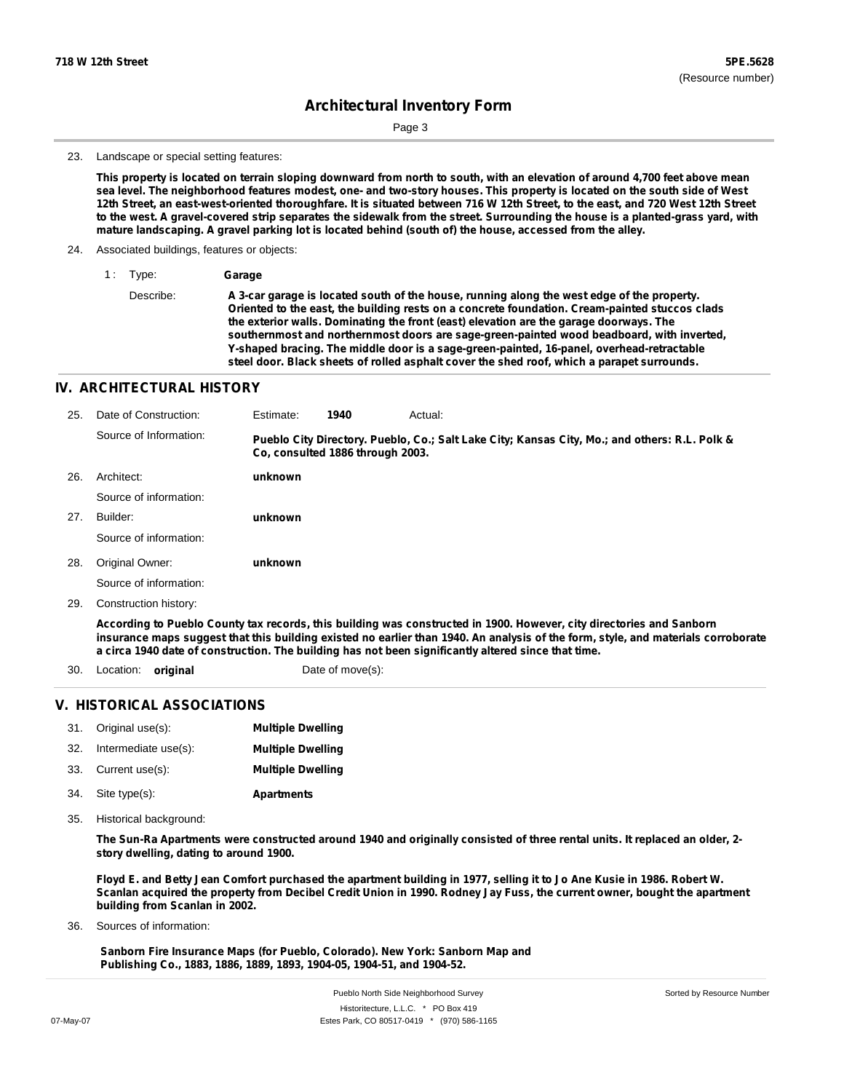Sorted by Resource Number

# **Architectural Inventory Form**

Page 3

#### 23. Landscape or special setting features:

This property is located on terrain sloping downward from north to south, with an elevation of around 4,700 feet above mean sea level. The neighborhood features modest, one- and two-story houses. This property is located on the south side of West 12th Street, an east-west-oriented thoroughfare. It is situated between 716 W 12th Street, to the east, and 720 West 12th Street to the west. A gravel-covered strip separates the sidewalk from the street. Surrounding the house is a planted-grass yard, with **mature landscaping. A gravel parking lot is located behind (south of) the house, accessed from the alley.**

#### 24. Associated buildings, features or objects:

1 : Type: **Garage**

Describe: **A 3-car garage is located south of the house, running along the west edge of the property. Oriented to the east, the building rests on a concrete foundation. Cream-painted stuccos clads the exterior walls. Dominating the front (east) elevation are the garage doorways. The southernmost and northernmost doors are sage-green-painted wood beadboard, with inverted, Y-shaped bracing. The middle door is a sage-green-painted, 16-panel, overhead-retractable steel door. Black sheets of rolled asphalt cover the shed roof, which a parapet surrounds.**

### **IV. ARCHITECTURAL HISTORY**

| 25. | Date of Construction:                                                                                                | Estimate:                        | 1940 | Actual:                                                                                       |  |
|-----|----------------------------------------------------------------------------------------------------------------------|----------------------------------|------|-----------------------------------------------------------------------------------------------|--|
|     | Source of Information:                                                                                               | Co. consulted 1886 through 2003. |      | Pueblo City Directory. Pueblo, Co.; Salt Lake City; Kansas City, Mo.; and others: R.L. Polk & |  |
| 26. | Architect:                                                                                                           | unknown                          |      |                                                                                               |  |
|     | Source of information:                                                                                               |                                  |      |                                                                                               |  |
| 27. | Builder:                                                                                                             | unknown                          |      |                                                                                               |  |
|     | Source of information:                                                                                               |                                  |      |                                                                                               |  |
| 28. | Original Owner:                                                                                                      | unknown                          |      |                                                                                               |  |
|     | Source of information:                                                                                               |                                  |      |                                                                                               |  |
| 29. | Construction history:                                                                                                |                                  |      |                                                                                               |  |
|     | According to Pueblo County tax records, this building was constructed in 1900. However, city directories and Sanborn |                                  |      |                                                                                               |  |

insurance maps suggest that this building existed no earlier than 1940. An analysis of the form, style, and materials corroborate **a circa 1940 date of construction. The building has not been significantly altered since that time.**

30. Location: **original** Date of move(s):

## **V. HISTORICAL ASSOCIATIONS**

|     | 31. Original use(s): | <b>Multiple Dwelling</b> |
|-----|----------------------|--------------------------|
| 32. | Intermediate use(s): | <b>Multiple Dwelling</b> |
|     | 33. Current use(s):  | <b>Multiple Dwelling</b> |
| 34. | Site type(s):        | <b>Apartments</b>        |

35. Historical background:

The Sun-Ra Apartments were constructed around 1940 and originally consisted of three rental units. It replaced an older, 2**story dwelling, dating to around 1900.**

Floyd E. and Betty Jean Comfort purchased the apartment building in 1977, selling it to Jo Ane Kusie in 1986. Robert W. Scanlan acquired the property from Decibel Credit Union in 1990. Rodney Jay Fuss, the current owner, bought the apartment **building from Scanlan in 2002.**

Sources of information: 36.

> **Sanborn Fire Insurance Maps (for Pueblo, Colorado). New York: Sanborn Map and Publishing Co., 1883, 1886, 1889, 1893, 1904-05, 1904-51, and 1904-52.**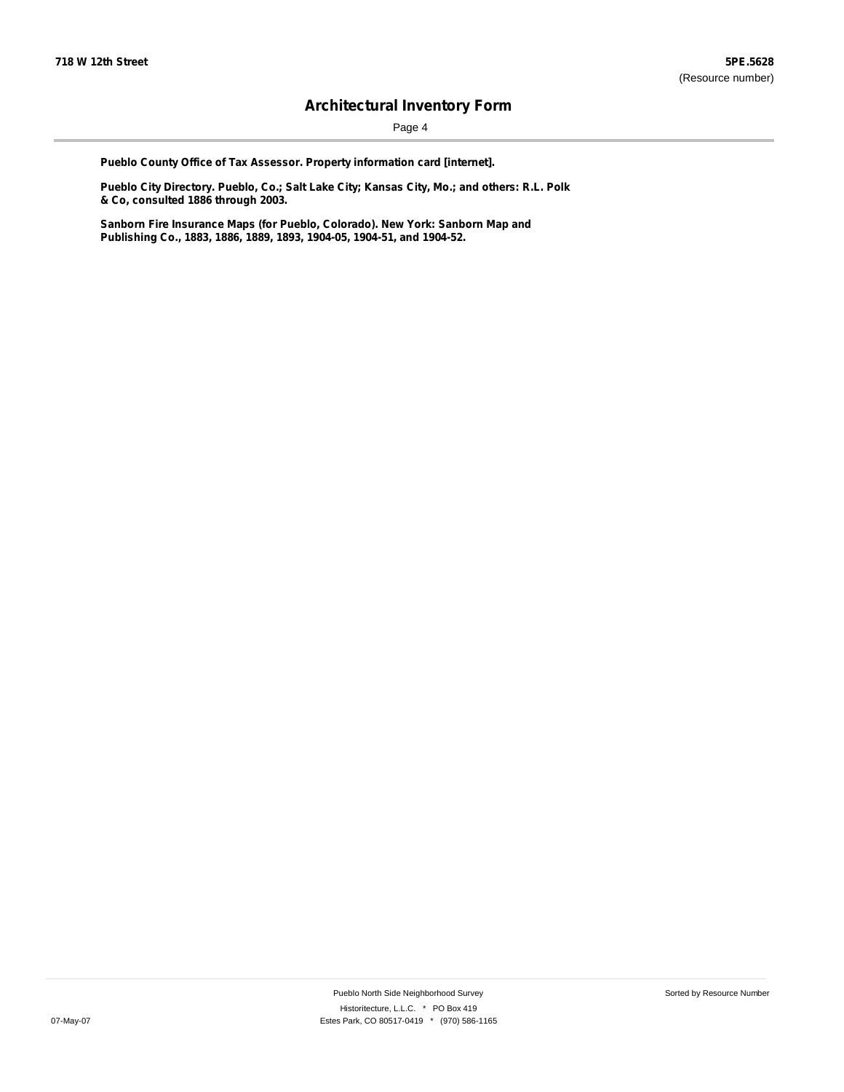Page 4

**Pueblo County Office of Tax Assessor. Property information card [internet].**

**Pueblo City Directory. Pueblo, Co.; Salt Lake City; Kansas City, Mo.; and others: R.L. Polk & Co, consulted 1886 through 2003.**

**Sanborn Fire Insurance Maps (for Pueblo, Colorado). New York: Sanborn Map and Publishing Co., 1883, 1886, 1889, 1893, 1904-05, 1904-51, and 1904-52.**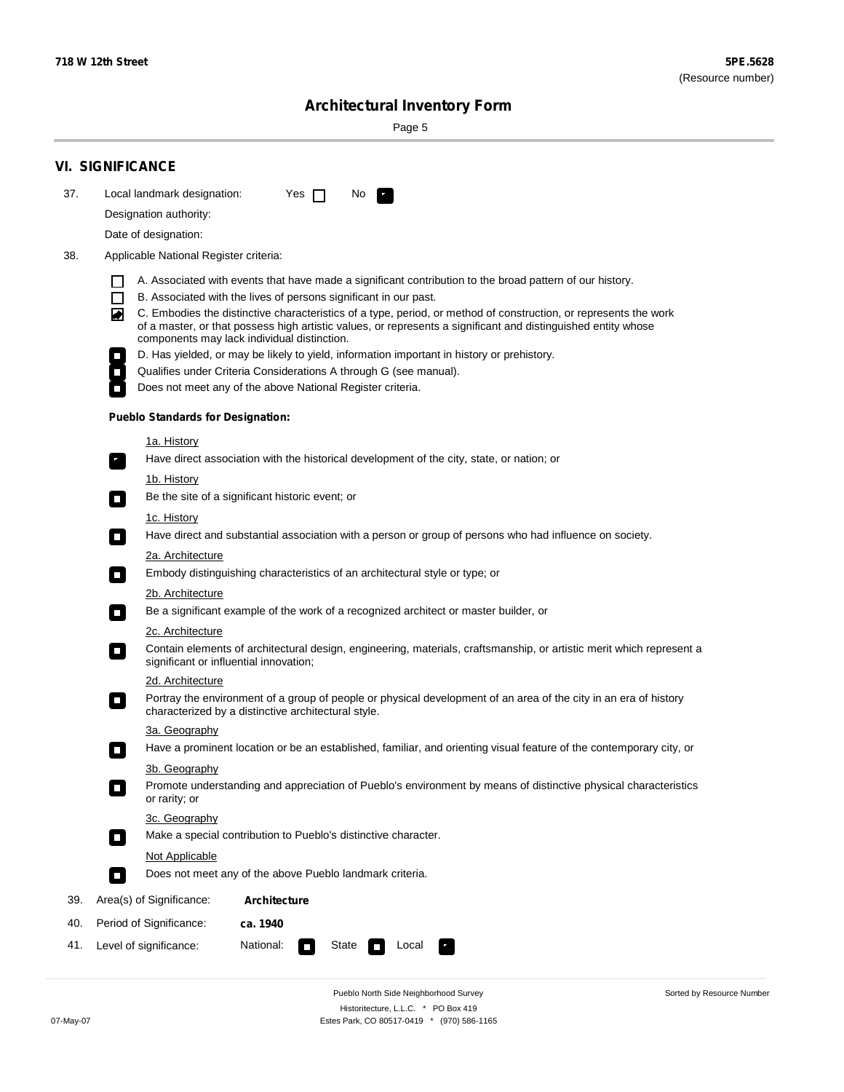÷

Sorted by Resource Number

# **Architectural Inventory Form**

Page 5

|     | <b>VI. SIGNIFICANCE</b>                                                                                                                                                                                                                                                          |  |  |  |  |  |  |  |  |
|-----|----------------------------------------------------------------------------------------------------------------------------------------------------------------------------------------------------------------------------------------------------------------------------------|--|--|--|--|--|--|--|--|
| 37. | Local landmark designation:<br>Yes $\Box$<br>No.                                                                                                                                                                                                                                 |  |  |  |  |  |  |  |  |
|     | Designation authority:                                                                                                                                                                                                                                                           |  |  |  |  |  |  |  |  |
|     | Date of designation:                                                                                                                                                                                                                                                             |  |  |  |  |  |  |  |  |
| 38. | Applicable National Register criteria:                                                                                                                                                                                                                                           |  |  |  |  |  |  |  |  |
|     | A. Associated with events that have made a significant contribution to the broad pattern of our history.<br>l.                                                                                                                                                                   |  |  |  |  |  |  |  |  |
|     | B. Associated with the lives of persons significant in our past.<br>$\Box$                                                                                                                                                                                                       |  |  |  |  |  |  |  |  |
|     | C. Embodies the distinctive characteristics of a type, period, or method of construction, or represents the work<br>of a master, or that possess high artistic values, or represents a significant and distinguished entity whose<br>components may lack individual distinction. |  |  |  |  |  |  |  |  |
|     | D. Has yielded, or may be likely to yield, information important in history or prehistory.                                                                                                                                                                                       |  |  |  |  |  |  |  |  |
|     | Qualifies under Criteria Considerations A through G (see manual).                                                                                                                                                                                                                |  |  |  |  |  |  |  |  |
|     | Does not meet any of the above National Register criteria.                                                                                                                                                                                                                       |  |  |  |  |  |  |  |  |
|     | <b>Pueblo Standards for Designation:</b>                                                                                                                                                                                                                                         |  |  |  |  |  |  |  |  |
|     | 1a. History                                                                                                                                                                                                                                                                      |  |  |  |  |  |  |  |  |
|     | Have direct association with the historical development of the city, state, or nation; or                                                                                                                                                                                        |  |  |  |  |  |  |  |  |
|     | <u>1b. History</u><br>Be the site of a significant historic event; or<br>$\mathcal{L}_{\mathcal{A}}$                                                                                                                                                                             |  |  |  |  |  |  |  |  |
|     | 1c. History                                                                                                                                                                                                                                                                      |  |  |  |  |  |  |  |  |
|     | Have direct and substantial association with a person or group of persons who had influence on society.<br>$\blacksquare$                                                                                                                                                        |  |  |  |  |  |  |  |  |
|     | 2a. Architecture                                                                                                                                                                                                                                                                 |  |  |  |  |  |  |  |  |
|     | Embody distinguishing characteristics of an architectural style or type; or<br>$\overline{\phantom{a}}$                                                                                                                                                                          |  |  |  |  |  |  |  |  |
|     | 2b. Architecture                                                                                                                                                                                                                                                                 |  |  |  |  |  |  |  |  |
|     | Be a significant example of the work of a recognized architect or master builder, or<br>$\sim$                                                                                                                                                                                   |  |  |  |  |  |  |  |  |
|     | 2c. Architecture                                                                                                                                                                                                                                                                 |  |  |  |  |  |  |  |  |
|     | Contain elements of architectural design, engineering, materials, craftsmanship, or artistic merit which represent a<br>О<br>significant or influential innovation;                                                                                                              |  |  |  |  |  |  |  |  |
|     | 2d. Architecture                                                                                                                                                                                                                                                                 |  |  |  |  |  |  |  |  |
|     | Portray the environment of a group of people or physical development of an area of the city in an era of history<br>$\Box$<br>characterized by a distinctive architectural style.                                                                                                |  |  |  |  |  |  |  |  |
|     | 3a. Geography                                                                                                                                                                                                                                                                    |  |  |  |  |  |  |  |  |
|     | Have a prominent location or be an established, familiar, and orienting visual feature of the contemporary city, or                                                                                                                                                              |  |  |  |  |  |  |  |  |
|     | 3b. Geography                                                                                                                                                                                                                                                                    |  |  |  |  |  |  |  |  |
|     | Promote understanding and appreciation of Pueblo's environment by means of distinctive physical characteristics<br>or rarity; or                                                                                                                                                 |  |  |  |  |  |  |  |  |
|     | 3c. Geography                                                                                                                                                                                                                                                                    |  |  |  |  |  |  |  |  |
|     | Make a special contribution to Pueblo's distinctive character.<br>$\Box$                                                                                                                                                                                                         |  |  |  |  |  |  |  |  |
|     | Not Applicable                                                                                                                                                                                                                                                                   |  |  |  |  |  |  |  |  |
|     | Does not meet any of the above Pueblo landmark criteria.<br>$\overline{\phantom{a}}$                                                                                                                                                                                             |  |  |  |  |  |  |  |  |
| 39. | Area(s) of Significance:<br><b>Architecture</b>                                                                                                                                                                                                                                  |  |  |  |  |  |  |  |  |
| 40. | Period of Significance:<br>ca. 1940                                                                                                                                                                                                                                              |  |  |  |  |  |  |  |  |
| 41. | National:<br>Level of significance:<br>State<br>Local<br>т,<br>П                                                                                                                                                                                                                 |  |  |  |  |  |  |  |  |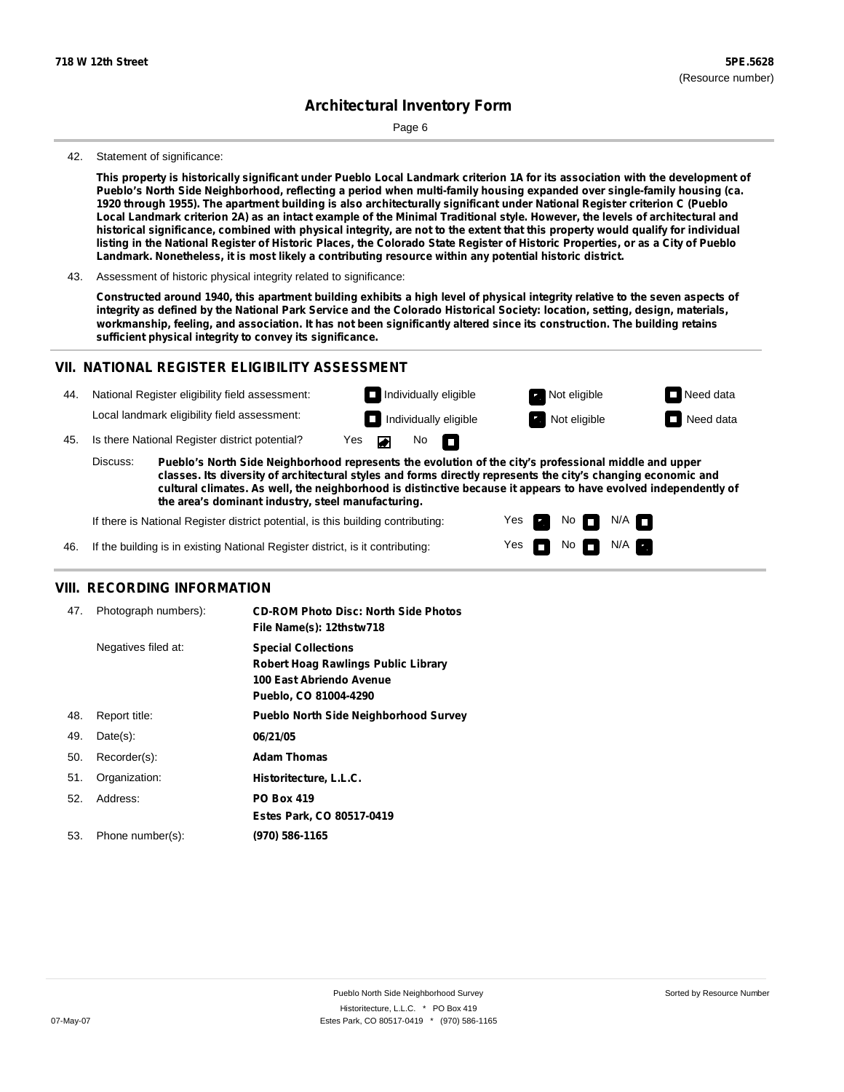Page 6

#### 42. Statement of significance:

This property is historically significant under Pueblo Local Landmark criterion 1A for its association with the development of Pueblo's North Side Neighborhood, reflecting a period when multi-family housing expanded over single-family housing (ca. 1920 through 1955). The apartment building is also architecturally significant under National Register criterion C (Pueblo Local Landmark criterion 2A) as an intact example of the Minimal Traditional style. However, the levels of architectural and historical significance, combined with physical integrity, are not to the extent that this property would qualify for individual listing in the National Register of Historic Places, the Colorado State Register of Historic Properties, or as a City of Pueblo **Landmark. Nonetheless, it is most likely a contributing resource within any potential historic district.**

43. Assessment of historic physical integrity related to significance:

Constructed around 1940, this apartment building exhibits a high level of physical integrity relative to the seven aspects of integrity as defined by the National Park Service and the Colorado Historical Society: location, setting, design, materials, workmanship, feeling, and association. It has not been significantly altered since its construction. The building retains **sufficient physical integrity to convey its significance.**

### **VII. NATIONAL REGISTER ELIGIBILITY ASSESSMENT**



**classes. Its diversity of architectural styles and forms directly represents the city's changing economic and cultural climates. As well, the neighborhood is distinctive because it appears to have evolved independently of the area's dominant industry, steel manufacturing.**

> Yes Yes

No **DI**N/A No  $\blacksquare$  N/A  $\blacksquare$ 

If there is National Register district potential, is this building contributing:

If the building is in existing National Register district, is it contributing: 46.

### **VIII. RECORDING INFORMATION**

| 47. | Photograph numbers): | <b>CD-ROM Photo Disc: North Side Photos</b><br>File Name(s): 12thstw718                                                       |
|-----|----------------------|-------------------------------------------------------------------------------------------------------------------------------|
|     | Negatives filed at:  | <b>Special Collections</b><br><b>Robert Hoag Rawlings Public Library</b><br>100 East Abriendo Avenue<br>Pueblo, CO 81004-4290 |
| 48. | Report title:        | <b>Pueblo North Side Neighborhood Survey</b>                                                                                  |
| 49. | $Date(s)$ :          | 06/21/05                                                                                                                      |
| 50. | Recorder(s):         | <b>Adam Thomas</b>                                                                                                            |
| 51. | Organization:        | Historitecture, L.L.C.                                                                                                        |
| 52. | Address:             | <b>PO Box 419</b>                                                                                                             |
|     |                      | Estes Park, CO 80517-0419                                                                                                     |
| 53. | Phone number(s):     | (970) 586-1165                                                                                                                |
|     |                      |                                                                                                                               |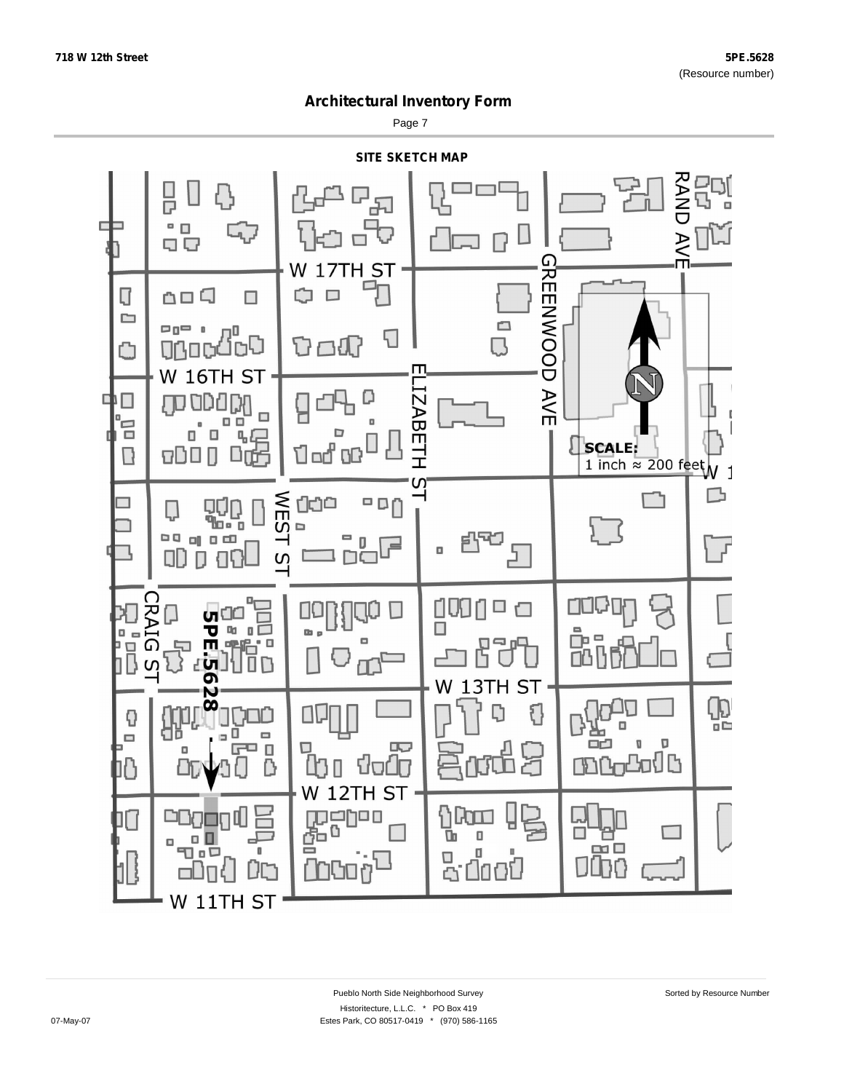Page 7